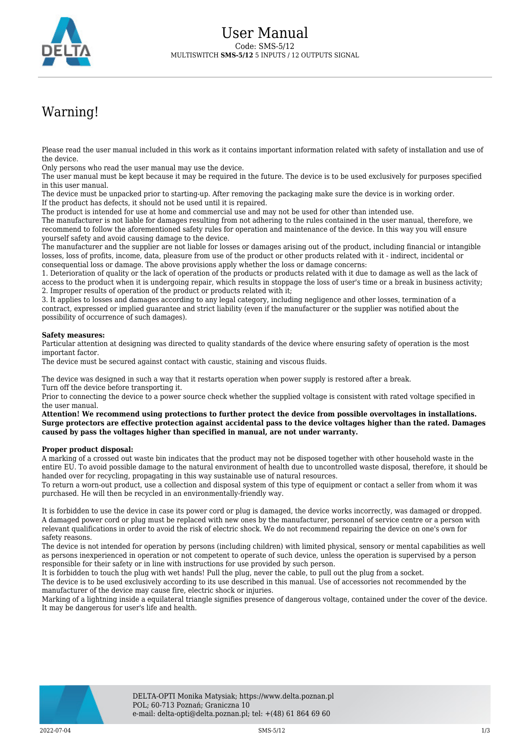

## Warning!

Please read the user manual included in this work as it contains important information related with safety of installation and use of the device.

Only persons who read the user manual may use the device.

The user manual must be kept because it may be required in the future. The device is to be used exclusively for purposes specified in this user manual.

The device must be unpacked prior to starting-up. After removing the packaging make sure the device is in working order. If the product has defects, it should not be used until it is repaired.

The product is intended for use at home and commercial use and may not be used for other than intended use.

The manufacturer is not liable for damages resulting from not adhering to the rules contained in the user manual, therefore, we recommend to follow the aforementioned safety rules for operation and maintenance of the device. In this way you will ensure yourself safety and avoid causing damage to the device.

The manufacturer and the supplier are not liable for losses or damages arising out of the product, including financial or intangible losses, loss of profits, income, data, pleasure from use of the product or other products related with it - indirect, incidental or consequential loss or damage. The above provisions apply whether the loss or damage concerns:

1. Deterioration of quality or the lack of operation of the products or products related with it due to damage as well as the lack of access to the product when it is undergoing repair, which results in stoppage the loss of user's time or a break in business activity; 2. Improper results of operation of the product or products related with it;

3. It applies to losses and damages according to any legal category, including negligence and other losses, termination of a contract, expressed or implied guarantee and strict liability (even if the manufacturer or the supplier was notified about the possibility of occurrence of such damages).

## **Safety measures:**

Particular attention at designing was directed to quality standards of the device where ensuring safety of operation is the most important factor.

The device must be secured against contact with caustic, staining and viscous fluids.

The device was designed in such a way that it restarts operation when power supply is restored after a break. Turn off the device before transporting it.

Prior to connecting the device to a power source check whether the supplied voltage is consistent with rated voltage specified in the user manual.

**Attention! We recommend using protections to further protect the device from possible overvoltages in installations. Surge protectors are effective protection against accidental pass to the device voltages higher than the rated. Damages caused by pass the voltages higher than specified in manual, are not under warranty.**

## **Proper product disposal:**

A marking of a crossed out waste bin indicates that the product may not be disposed together with other household waste in the entire EU. To avoid possible damage to the natural environment of health due to uncontrolled waste disposal, therefore, it should be handed over for recycling, propagating in this way sustainable use of natural resources.

To return a worn-out product, use a collection and disposal system of this type of equipment or contact a seller from whom it was purchased. He will then be recycled in an environmentally-friendly way.

It is forbidden to use the device in case its power cord or plug is damaged, the device works incorrectly, was damaged or dropped. A damaged power cord or plug must be replaced with new ones by the manufacturer, personnel of service centre or a person with relevant qualifications in order to avoid the risk of electric shock. We do not recommend repairing the device on one's own for safety reasons.

The device is not intended for operation by persons (including children) with limited physical, sensory or mental capabilities as well as persons inexperienced in operation or not competent to operate of such device, unless the operation is supervised by a person responsible for their safety or in line with instructions for use provided by such person.

It is forbidden to touch the plug with wet hands! Pull the plug, never the cable, to pull out the plug from a socket.

The device is to be used exclusively according to its use described in this manual. Use of accessories not recommended by the manufacturer of the device may cause fire, electric shock or injuries.

Marking of a lightning inside a equilateral triangle signifies presence of dangerous voltage, contained under the cover of the device. It may be dangerous for user's life and health.

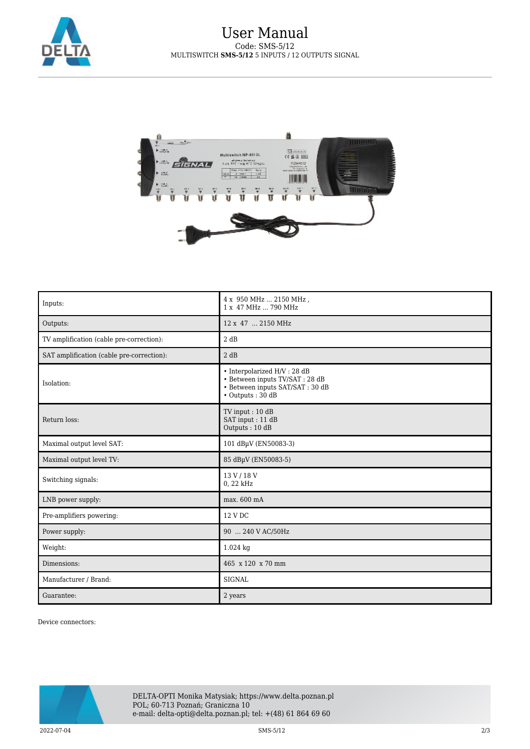

## User Manual Code: SMS-5/12 MULTISWITCH **SMS-5/12** 5 INPUTS / 12 OUTPUTS SIGNAL



| Inputs:                                   | 4 x 950 MHz  2150 MHz,<br>1 x 47 MHz  790 MHz                                                                                  |
|-------------------------------------------|--------------------------------------------------------------------------------------------------------------------------------|
| Outputs:                                  | 12 x 47  2150 MHz                                                                                                              |
| TV amplification (cable pre-correction):  | 2 dB                                                                                                                           |
| SAT amplification (cable pre-correction): | 2 dB                                                                                                                           |
| Isolation:                                | $\bullet$ Interpolarized H/V : 28 dB<br>· Between inputs TV/SAT : 28 dB<br>• Between inputs SAT/SAT: 30 dB<br>• Outputs: 30 dB |
| Return loss:                              | TV input: 10 dB<br>SAT input: 11 dB<br>Outputs: 10 dB                                                                          |
| Maximal output level SAT:                 | 101 dBµV (EN50083-3)                                                                                                           |
| Maximal output level TV:                  | 85 dBµV (EN50083-5)                                                                                                            |
| Switching signals:                        | 13 V / 18 V<br>0, 22 kHz                                                                                                       |
| LNB power supply:                         | max. 600 mA                                                                                                                    |
| Pre-amplifiers powering:                  | 12 V DC                                                                                                                        |
| Power supply:                             | 90  240 V AC/50Hz                                                                                                              |
| Weight:                                   | 1.024 kg                                                                                                                       |
| Dimensions:                               | 465 x 120 x 70 mm                                                                                                              |
| Manufacturer / Brand:                     | <b>SIGNAL</b>                                                                                                                  |
| Guarantee:                                | 2 years                                                                                                                        |

Device connectors: